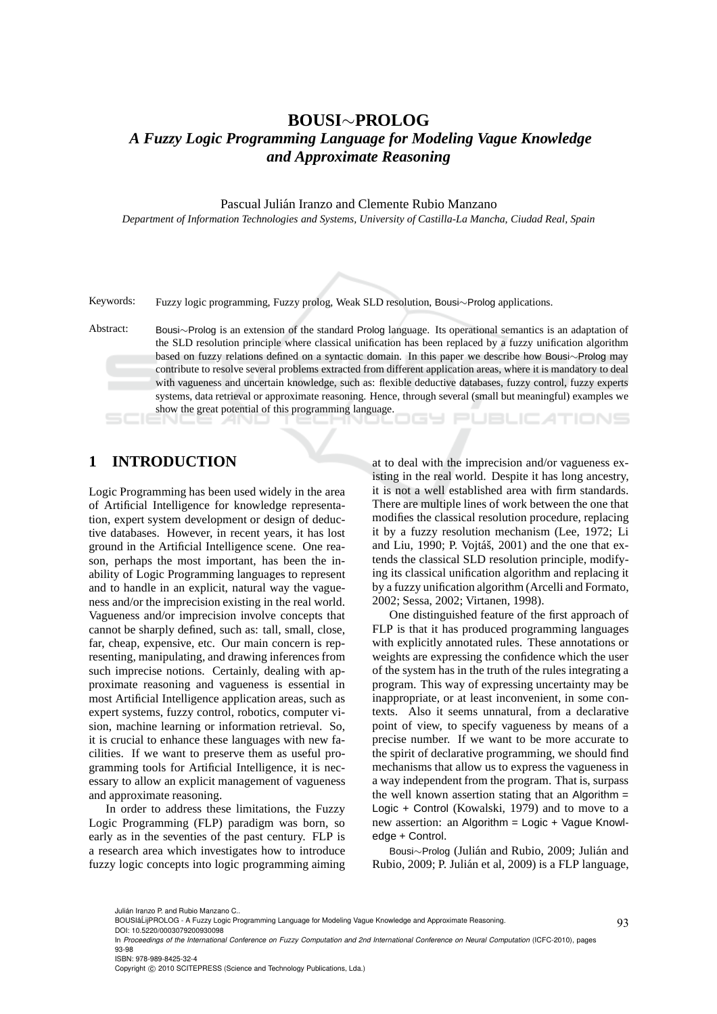# **BOUSI**∼**PROLOG** *A Fuzzy Logic Programming Language for Modeling Vague Knowledge and Approximate Reasoning*

Pascual Julián Iranzo and Clemente Rubio Manzano

*Department of Information Technologies and Systems, University of Castilla-La Mancha, Ciudad Real, Spain*

Keywords: Fuzzy logic programming, Fuzzy prolog, Weak SLD resolution, Bousi∼Prolog applications.

Abstract: Bousi∼Prolog is an extension of the standard Prolog language. Its operational semantics is an adaptation of the SLD resolution principle where classical unification has been replaced by a fuzzy unification algorithm based on fuzzy relations defined on a syntactic domain. In this paper we describe how Bousi∼Prolog may contribute to resolve several problems extracted from different application areas, where it is mandatory to deal with vagueness and uncertain knowledge, such as: flexible deductive databases, fuzzy control, fuzzy experts systems, data retrieval or approximate reasoning. Hence, through several (small but meaningful) examples we show the great potential of this programming language. **JBLIC ATIONS** 164

# **1 INTRODUCTION**

Logic Programming has been used widely in the area of Artificial Intelligence for knowledge representation, expert system development or design of deductive databases. However, in recent years, it has lost ground in the Artificial Intelligence scene. One reason, perhaps the most important, has been the inability of Logic Programming languages to represent and to handle in an explicit, natural way the vagueness and/or the imprecision existing in the real world. Vagueness and/or imprecision involve concepts that cannot be sharply defined, such as: tall, small, close, far, cheap, expensive, etc. Our main concern is representing, manipulating, and drawing inferences from such imprecise notions. Certainly, dealing with approximate reasoning and vagueness is essential in most Artificial Intelligence application areas, such as expert systems, fuzzy control, robotics, computer vision, machine learning or information retrieval. So, it is crucial to enhance these languages with new facilities. If we want to preserve them as useful programming tools for Artificial Intelligence, it is necessary to allow an explicit management of vagueness and approximate reasoning.

In order to address these limitations, the Fuzzy Logic Programming (FLP) paradigm was born, so early as in the seventies of the past century. FLP is a research area which investigates how to introduce fuzzy logic concepts into logic programming aiming

at to deal with the imprecision and/or vagueness existing in the real world. Despite it has long ancestry, it is not a well established area with firm standards. There are multiple lines of work between the one that modifies the classical resolution procedure, replacing it by a fuzzy resolution mechanism (Lee, 1972; Li and Liu, 1990; P. Vojtáš, 2001) and the one that extends the classical SLD resolution principle, modifying its classical unification algorithm and replacing it by a fuzzy unification algorithm (Arcelli and Formato, 2002; Sessa, 2002; Virtanen, 1998).

One distinguished feature of the first approach of FLP is that it has produced programming languages with explicitly annotated rules. These annotations or weights are expressing the confidence which the user of the system has in the truth of the rules integrating a program. This way of expressing uncertainty may be inappropriate, or at least inconvenient, in some contexts. Also it seems unnatural, from a declarative point of view, to specify vagueness by means of a precise number. If we want to be more accurate to the spirit of declarative programming, we should find mechanisms that allow us to express the vagueness in a way independent from the program. That is, surpass the well known assertion stating that an Algorithm = Logic + Control (Kowalski, 1979) and to move to a new assertion: an Algorithm = Logic + Vague Knowledge + Control.

Bousi∼Prolog (Julián and Rubio, 2009; Julián and Rubio, 2009; P. Julián et al, 2009) is a FLP language,

ISBN: 978-989-8425-32-4

Copyright © 2010 SCITEPRESS (Science and Technology Publications, Lda.)

Julián Iranzo P. and Rubio Manzano C..

BOUSIâ´LijPROLOG - A Fuzzy Logic Programming Language for Modeling Vague Knowledge and Approximate Reasoning.

DOI: 10.5220/0003079200930098

In *Proceedings of the International Conference on Fuzzy Computation and 2nd International Conference on Neural Computation* (ICFC-2010), pages 93-98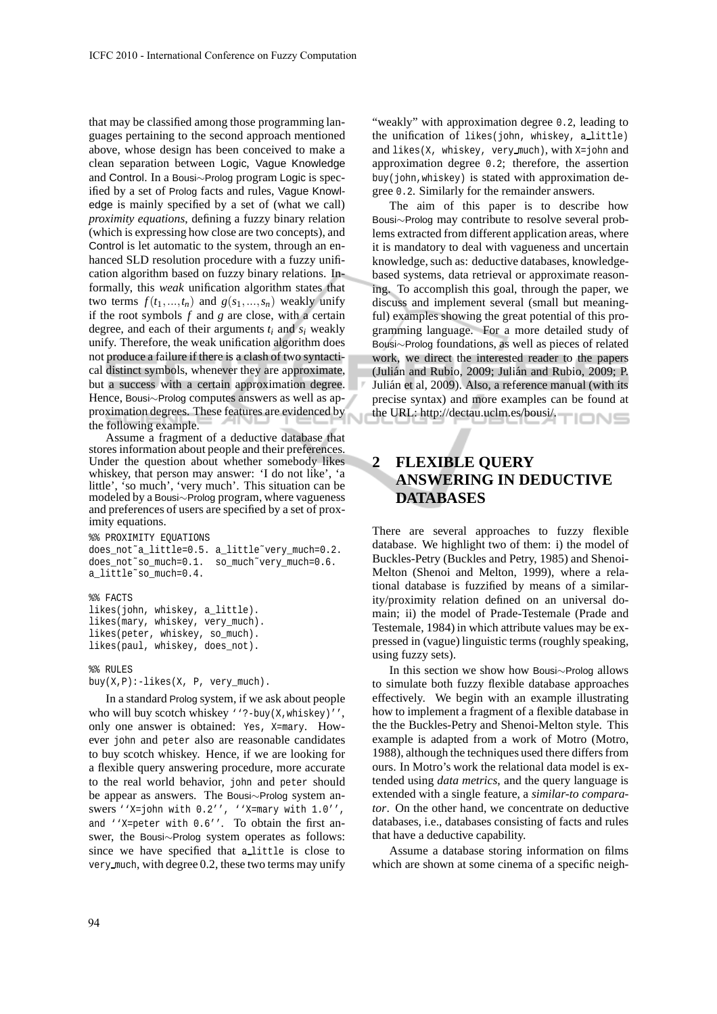that may be classified among those programming languages pertaining to the second approach mentioned above, whose design has been conceived to make a clean separation between Logic, Vague Knowledge and Control. In a Bousi∼Prolog program Logic is specified by a set of Prolog facts and rules, Vague Knowledge is mainly specified by a set of (what we call) *proximity equations*, defining a fuzzy binary relation (which is expressing how close are two concepts), and Control is let automatic to the system, through an enhanced SLD resolution procedure with a fuzzy unification algorithm based on fuzzy binary relations. Informally, this *weak* unification algorithm states that two terms  $f(t_1,...,t_n)$  and  $g(s_1,...,s_n)$  weakly unify if the root symbols *f* and *g* are close, with a certain degree, and each of their arguments  $t_i$  and  $s_i$  weakly unify. Therefore, the weak unification algorithm does not produce a failure if there is a clash of two syntactical distinct symbols, whenever they are approximate, but a success with a certain approximation degree. Hence, Bousi∼Prolog computes answers as well as approximation degrees. These features are evidenced by the following example.

Assume a fragment of a deductive database that stores information about people and their preferences. Under the question about whether somebody likes whiskey, that person may answer: 'I do not like', 'a little', 'so much', 'very much'. This situation can be modeled by a Bousi∼Prolog program, where vagueness and preferences of users are specified by a set of proximity equations.

```
%% PROXIMITY EOUATIONS
does_not˜a_little=0.5. a_little˜very_much=0.2.
does_not~so_much=0.1. so_much~very_much=0.6.
a_little˜so_much=0.4.
%% FACTS
likes(john, whiskey, a_little).
likes(mary, whiskey, very_much).
likes(peter, whiskey, so_much).
likes(paul, whiskey, does_not).
```
%% RULES  $buy(X, P):-likes(X, P, very_much)$ .

In a standard Prolog system, if we ask about people who will buy scotch whiskey ''?-buy(X,whiskey)'', only one answer is obtained: Yes, X=mary. However john and peter also are reasonable candidates to buy scotch whiskey. Hence, if we are looking for a flexible query answering procedure, more accurate to the real world behavior, john and peter should be appear as answers. The Bousi∼Prolog system answers ''X=john with 0.2'', ''X=mary with 1.0'', and ''X=peter with 0.6''. To obtain the first answer, the Bousi∼Prolog system operates as follows: since we have specified that a little is close to very much, with degree 0.2, these two terms may unify

"weakly" with approximation degree 0.2, leading to the unification of likes(john, whiskey, a little) and likes(X, whiskey, very much), with X=john and approximation degree 0.2; therefore, the assertion buy(john,whiskey) is stated with approximation degree 0.2. Similarly for the remainder answers.

The aim of this paper is to describe how Bousi∼Prolog may contribute to resolve several problems extracted from different application areas, where it is mandatory to deal with vagueness and uncertain knowledge, such as: deductive databases, knowledgebased systems, data retrieval or approximate reasoning. To accomplish this goal, through the paper, we discuss and implement several (small but meaningful) examples showing the great potential of this programming language. For a more detailed study of Bousi∼Prolog foundations, as well as pieces of related work, we direct the interested reader to the papers (Julián and Rubio, 2009; Julián and Rubio, 2009; P. Julián et al, 2009). Also, a reference manual (with its precise syntax) and more examples can be found at the URL: http://dectau.uclm.es/bousi/.

## **2 FLEXIBLE QUERY ANSWERING IN DEDUCTIVE DATABASES**

There are several approaches to fuzzy flexible database. We highlight two of them: i) the model of Buckles-Petry (Buckles and Petry, 1985) and Shenoi-Melton (Shenoi and Melton, 1999), where a relational database is fuzzified by means of a similarity/proximity relation defined on an universal domain; ii) the model of Prade-Testemale (Prade and Testemale, 1984) in which attribute values may be expressed in (vague) linguistic terms (roughly speaking, using fuzzy sets).

In this section we show how Bousi∼Prolog allows to simulate both fuzzy flexible database approaches effectively. We begin with an example illustrating how to implement a fragment of a flexible database in the the Buckles-Petry and Shenoi-Melton style. This example is adapted from a work of Motro (Motro, 1988), although the techniques used there differs from ours. In Motro's work the relational data model is extended using *data metrics*, and the query language is extended with a single feature, a *similar-to comparator*. On the other hand, we concentrate on deductive databases, i.e., databases consisting of facts and rules that have a deductive capability.

Assume a database storing information on films which are shown at some cinema of a specific neigh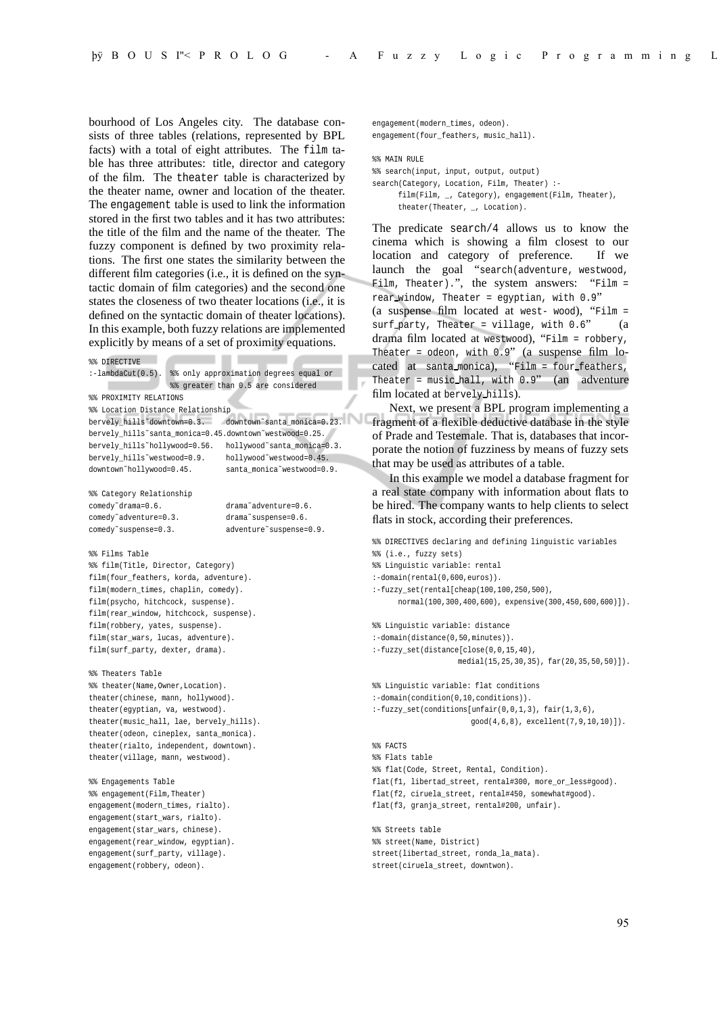bourhood of Los Angeles city. The database consists of three tables (relations, represented by BPL facts) with a total of eight attributes. The film table has three attributes: title, director and category of the film. The theater table is characterized by the theater name, owner and location of the theater. The engagement table is used to link the information stored in the first two tables and it has two attributes: the title of the film and the name of the theater. The fuzzy component is defined by two proximity relations. The first one states the similarity between the different film categories (i.e., it is defined on the syntactic domain of film categories) and the second one states the closeness of two theater locations (i.e., it is defined on the syntactic domain of theater locations). In this example, both fuzzy relations are implemented explicitly by means of a set of proximity equations.

```
Contract Contract
                                 ٠
%% DIRECTIVE
:-lambdaCut(0.5). %% only approximation degrees equal or
                 %% greater than 0.5 are considered
%% PROXIMITY RELATIONS
%% Location Distance Relationship
bervely_hills˜downtown=0.3. downtown˜santa_monica=0.23.
bervely_hills˜santa_monica=0.45.downtown˜westwood=0.25.
bervely_hills˜hollywood=0.56. hollywood˜santa_monica=0.3.
bervely hills~westwood=0.9. hollywood~westwood=0.45.
downtown˜hollywood=0.45. santa_monica˜westwood=0.9.
%% Category Relationship
comedy˜drama=0.6. drama˜adventure=0.6.
comedy˜adventure=0.3. drama˜suspense=0.6.
comedy˜suspense=0.3. adventure˜suspense=0.9.
%% Films Table
%% film(Title, Director, Category)
film(four_feathers, korda, adventure).
film(modern_times, chaplin, comedy).
film(psycho, hitchcock, suspense).
film(rear_window, hitchcock, suspense).
film(robbery, yates, suspense).
film(star_wars, lucas, adventure).
film(surf_party, dexter, drama).
%% Theaters Table
%% theater(Name,Owner,Location).
theater(chinese, mann, hollywood).
theater(egyptian, va, westwood).
theater(music_hall, lae, bervely_hills).
theater(odeon, cineplex, santa_monica).
theater(rialto, independent, downtown).
theater(village, mann, westwood).
```
%% Engagements Table %% engagement(Film,Theater) engagement(modern\_times, rialto). engagement(start\_wars, rialto). engagement(star\_wars, chinese). engagement(rear\_window, egyptian). engagement(surf\_party, village). engagement(robbery, odeon).

engagement(modern\_times, odeon). engagement(four\_feathers, music\_hall).

%% MAIN RULE

%% search(input, input, output, output)

search(Category, Location, Film, Theater) :film(Film, \_, Category), engagement(Film, Theater), theater(Theater, , Location).

The predicate search/4 allows us to know the cinema which is showing a film closest to our location and category of preference. If we launch the goal "search(adventure, westwood, Film, Theater).", the system answers: "Film = rear window, Theater = egyptian, with 0.9" (a suspense film located at west- wood), "Film = surf\_party, Theater = village, with  $0.6$ " (a drama film located at westwood), "Film = robbery, Theater = odeon, with 0.9" (a suspense film located at santa monica), "Film = four feathers, Theater = music hall, with 0.9" (an adventure film located at bervely hills).

Next, we present a BPL program implementing a fragment of a flexible deductive database in the style of Prade and Testemale. That is, databases that incorporate the notion of fuzziness by means of fuzzy sets that may be used as attributes of a table.

In this example we model a database fragment for a real state company with information about flats to be hired. The company wants to help clients to select flats in stock, according their preferences.

```
%% DIRECTIVES declaring and defining linguistic variables
%% (i.e., fuzzy sets)
%% Linguistic variable: rental
:-domain(rental(0,600,euros)).
:-fuzzy set(rental[cheap(100.100.250,500).
      normal(100,300,400,600), expensive(300,450,600,600)]).
%% Linguistic variable: distance
:-domain(distance(0,50,minutes)).
:-fuzzy_set(distance[close(0,0,15,40),
                    medial(15,25,30,35), far(20,35,50,50)]).
%% Linguistic variable: flat conditions
: -domain(condition(0,10,conditions)).
:-fuzzy_set(conditions[unfair(0,0,1,3), fair(1,3,6),
                      good(4,6,8), excellent(7,9,10,10)]).
%% FACTS
%% Flats table
%% flat(Code, Street, Rental, Condition).
flat(f1, libertad street, rental#300, more or less#good).
flat(f2, ciruela_street, rental#450, somewhat#good).
flat(f3, granja_street, rental#200, unfair).
%% Streets table
%% street(Name, District)
street(libertad_street, ronda_la_mata).
street(ciruela_street, downtwon).
```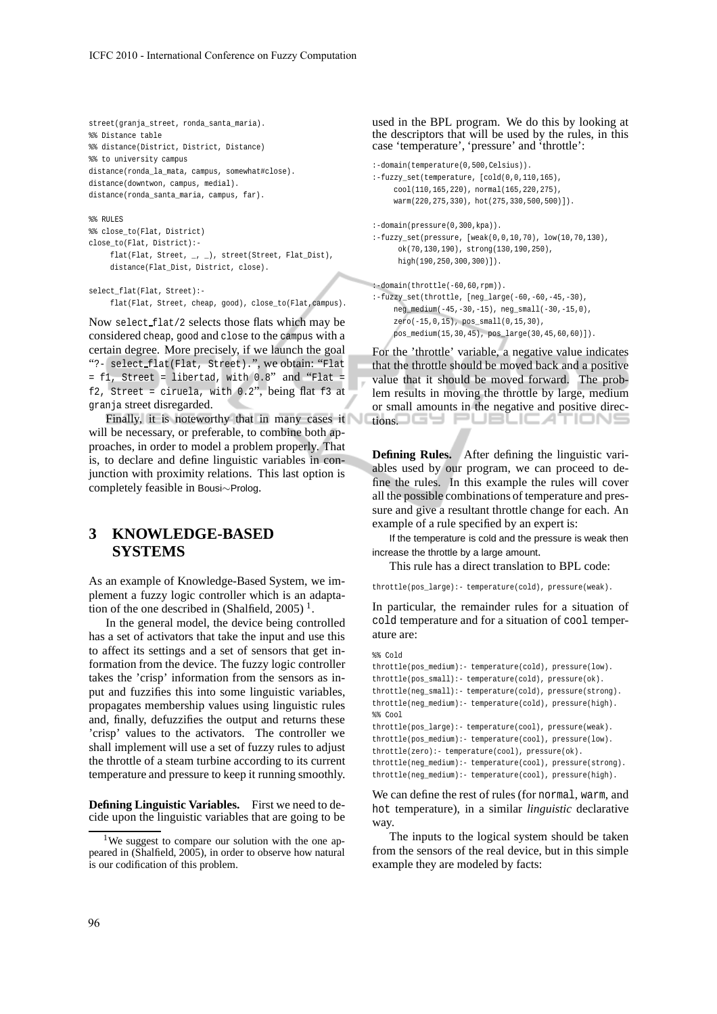```
street(granja_street, ronda_santa_maria).
%% Distance table
%% distance(District, District, Distance)
%% to university campus
distance(ronda_la_mata, campus, somewhat#close).
distance(downtwon, campus, medial).
distance(ronda_santa_maria, campus, far).
%% RULES
```

```
%% close_to(Flat, District)
close_to(Flat, District):-
    flat(Flat, Street, _, _), street(Street, Flat_Dist),
    distance(Flat_Dist, District, close).
```

```
select_flat(Flat, Street):-
```
flat(Flat, Street, cheap, good), close\_to(Flat,campus).

Now select flat/2 selects those flats which may be considered cheap, good and close to the campus with a certain degree. More precisely, if we launch the goal "?- select flat(Flat, Street).", we obtain: "Flat = f1, Street = libertad, with 0.8" and "Flat = f2, Street = ciruela, with 0.2", being flat f3 at granja street disregarded.

Finally, it is noteworthy that in many cases it will be necessary, or preferable, to combine both approaches, in order to model a problem properly. That is, to declare and define linguistic variables in conjunction with proximity relations. This last option is completely feasible in Bousi∼Prolog.

## **3 KNOWLEDGE-BASED SYSTEMS**

As an example of Knowledge-Based System, we implement a fuzzy logic controller which is an adaptation of the one described in (Shalfield, 2005)<sup>1</sup>.

In the general model, the device being controlled has a set of activators that take the input and use this to affect its settings and a set of sensors that get information from the device. The fuzzy logic controller takes the 'crisp' information from the sensors as input and fuzzifies this into some linguistic variables, propagates membership values using linguistic rules and, finally, defuzzifies the output and returns these 'crisp' values to the activators. The controller we shall implement will use a set of fuzzy rules to adjust the throttle of a steam turbine according to its current temperature and pressure to keep it running smoothly.

**Defining Linguistic Variables.** First we need to decide upon the linguistic variables that are going to be used in the BPL program. We do this by looking at the descriptors that will be used by the rules, in this case 'temperature', 'pressure' and 'throttle':

```
:-domain(temperature(0,500,Celsius)).
:-fuzzy_set(temperature, [cold(0,0,110,165),
    cool(110,165,220), normal(165,220,275),
     warm(220,275,330), hot(275,330,500,500)]).
:-domain(pressure(0,300,kpa)).
:-fuzzy_set(pressure, [weak(0,0,10,70), low(10,70,130),
     ok(70,130,190), strong(130,190,250),
     high(190,250,300,300)]).
:-domain(throttle(-60,60,rpm)).
```
:-fuzzy\_set(throttle, [neg\_large(-60,-60,-45,-30), neg\_medium(-45,-30,-15), neg\_small(-30,-15,0), zero(-15,0,15), pos\_small(0,15,30), pos\_medium(15,30,45), pos\_large(30,45,60,60)]).

For the 'throttle' variable, a negative value indicates that the throttle should be moved back and a positive value that it should be moved forward. The problem results in moving the throttle by large, medium or small amounts in the negative and positive directions. OGY PUBLICATION!

**Defining Rules.** After defining the linguistic variables used by our program, we can proceed to define the rules. In this example the rules will cover all the possible combinations of temperature and pressure and give a resultant throttle change for each. An example of a rule specified by an expert is:

If the temperature is cold and the pressure is weak then increase the throttle by a large amount.

This rule has a direct translation to BPL code:

throttle(pos\_large):- temperature(cold), pressure(weak).

In particular, the remainder rules for a situation of cold temperature and for a situation of cool temperature are:

```
%% Cold
```

```
throttle(pos medium):- temperature(cold), pressure(low).
throttle(pos_small):- temperature(cold), pressure(ok).
throttle(neg_small):- temperature(cold), pressure(strong).
throttle(neg_medium):- temperature(cold), pressure(high).
%throttle(pos_large):- temperature(cool), pressure(weak).
throttle(pos_medium):- temperature(cool), pressure(low).
throttle(zero):- temperature(cool), pressure(ok).
throttle(neg_medium):- temperature(cool), pressure(strong).
throttle(neg_medium):- temperature(cool), pressure(high).
```
We can define the rest of rules (for normal, warm, and hot temperature), in a similar *linguistic* declarative way.

The inputs to the logical system should be taken from the sensors of the real device, but in this simple example they are modeled by facts:

<sup>&</sup>lt;sup>1</sup>We suggest to compare our solution with the one appeared in (Shalfield, 2005), in order to observe how natural is our codification of this problem.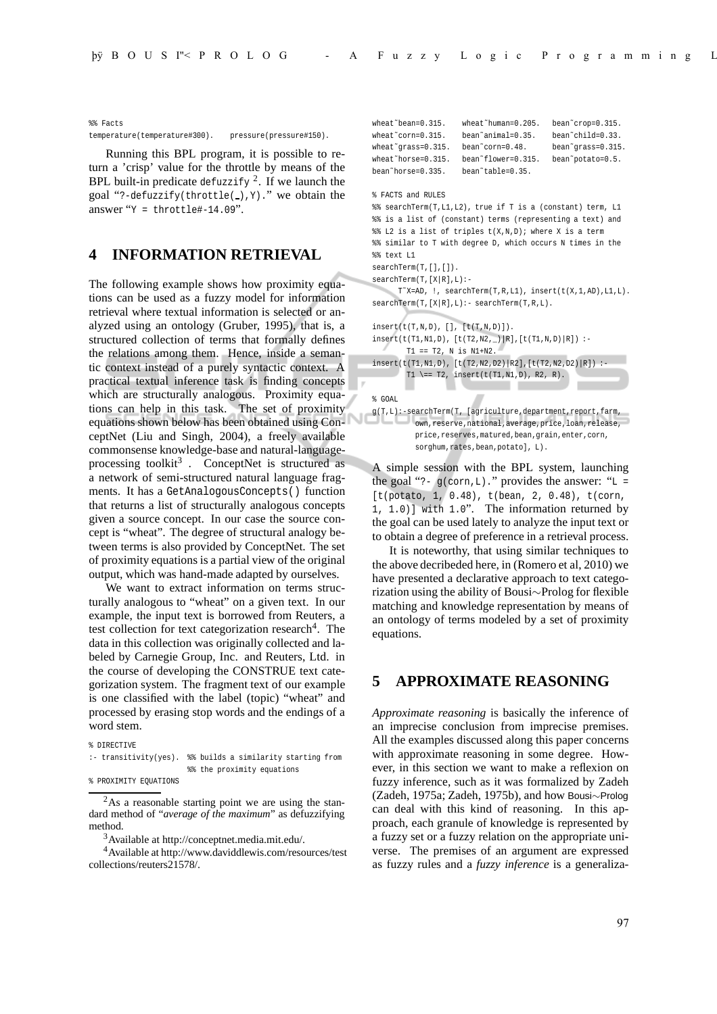%% Facts

temperature(temperature#300). pressure(pressure#150).

Running this BPL program, it is possible to return a 'crisp' value for the throttle by means of the BPL built-in predicate defuzzify <sup>2</sup>. If we launch the goal "?-defuzzify(throttle( $\Box$ ), Y)." we obtain the answer " $Y = \text{throttle#-14.09}$ ".

#### **4 INFORMATION RETRIEVAL**

The following example shows how proximity equations can be used as a fuzzy model for information retrieval where textual information is selected or analyzed using an ontology (Gruber, 1995), that is, a structured collection of terms that formally defines the relations among them. Hence, inside a semantic context instead of a purely syntactic context. A practical textual inference task is finding concepts which are structurally analogous. Proximity equations can help in this task. The set of proximity equations shown below has been obtained using ConceptNet (Liu and Singh, 2004), a freely available commonsense knowledge-base and natural-languageprocessing toolkit<sup>3</sup>. ConceptNet is structured as a network of semi-structured natural language fragments. It has a GetAnalogousConcepts() function that returns a list of structurally analogous concepts given a source concept. In our case the source concept is "wheat". The degree of structural analogy between terms is also provided by ConceptNet. The set of proximity equations is a partial view of the original output, which was hand-made adapted by ourselves.

We want to extract information on terms structurally analogous to "wheat" on a given text. In our example, the input text is borrowed from Reuters, a test collection for text categorization research<sup>4</sup>. The data in this collection was originally collected and labeled by Carnegie Group, Inc. and Reuters, Ltd. in the course of developing the CONSTRUE text categorization system. The fragment text of our example is one classified with the label (topic) "wheat" and processed by erasing stop words and the endings of a word stem.

```
% DIRECTIVE
```
:- transitivity(yes). %% builds a similarity starting from %% the proximity equations

<sup>2</sup>As a reasonable starting point we are using the standard method of "*average of the maximum*" as defuzzifying method.

<sup>3</sup>Available at http://conceptnet.media.mit.edu/.

<sup>4</sup>Available at http://www.daviddlewis.com/resources/test collections/reuters21578/.

```
wheat˜bean=0.315. wheat˜human=0.205. bean˜crop=0.315.
wheat˜corn=0.315. bean˜animal=0.35. bean˜child=0.33.
wheat˜grass=0.315. bean˜corn=0.48. bean˜grass=0.315.
wheat~horse=0.315. bean~flower=0.315. bean~potato=0.5.
bean˜horse=0.335. bean˜table=0.35.
% FACTS and RULES
%% searchTerm(T,L1,L2), true if T is a (constant) term, L1
%% is a list of (constant) terms (representing a text) and
%% L2 is a list of triples t(X,N,D); where X is a term
%% similar to T with degree D, which occurs N times in the
%% text L1
searchTerm(T,[],[]).
searchTerm(T,[X|R],L):-
      T˜X=AD, !, searchTerm(T,R,L1), insert(t(X,1,AD),L1,L).
searchTerm(T,[X|R],L):- searchTerm(T,R,L).
insert(t(T,N,D), [], [t(T,N,D)]).insert(t(T1,N1,D), [t(T2,N2,_)|R],[t(T1,N,D)|R]) :-
        T1 == T2, N is N1+N2.
insert(t(T1,N1,D), [t(T2,N2,D2) | R2], [t(T2,N2,D2) | R]) :-
       T1 \== T2, insert(t(T1,N1,D), R2, R).
                 ٠
% GOAL
g(T,L):-\texttt{searchTerm}(T,~[\texttt{agriculture},\texttt{department},\texttt{report},\texttt{farm},own,reserve,national,average,price,loan,release,
          price,reserves,matured,bean,grain,enter,corn,
          sorghum, rates, bean, potatol, L).
```
A simple session with the BPL system, launching the goal "?-  $g(corn, L)$ ." provides the answer: " $L =$ [t(potato, 1, 0.48), t(bean, 2, 0.48), t(corn, 1, 1.0)] with 1.0". The information returned by the goal can be used lately to analyze the input text or to obtain a degree of preference in a retrieval process.

It is noteworthy, that using similar techniques to the above decribeded here, in (Romero et al, 2010) we have presented a declarative approach to text categorization using the ability of Bousi∼Prolog for flexible matching and knowledge representation by means of an ontology of terms modeled by a set of proximity equations.

### **5 APPROXIMATE REASONING**

*Approximate reasoning* is basically the inference of an imprecise conclusion from imprecise premises. All the examples discussed along this paper concerns with approximate reasoning in some degree. However, in this section we want to make a reflexion on fuzzy inference, such as it was formalized by Zadeh (Zadeh, 1975a; Zadeh, 1975b), and how Bousi∼Prolog can deal with this kind of reasoning. In this approach, each granule of knowledge is represented by a fuzzy set or a fuzzy relation on the appropriate universe. The premises of an argument are expressed as fuzzy rules and a *fuzzy inference* is a generaliza-

<sup>%</sup> PROXIMITY EQUATIONS